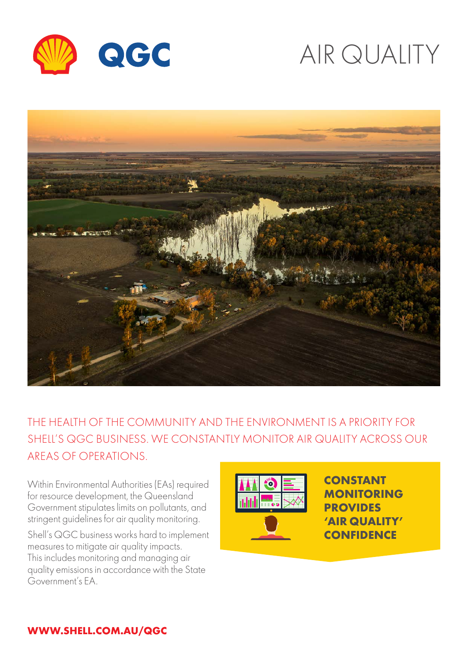

# AIR QUALITY



THE HEALTH OF THE COMMUNITY AND THE ENVIRONMENT IS A PRIORITY FOR SHELL'S QGC BUSINESS. WE CONSTANTLY MONITOR AIR QUALITY ACROSS OUR AREAS OF OPERATIONS.

Within Environmental Authorities (EAs) required for resource development, the Queensland Government stipulates limits on pollutants, and stringent guidelines for air quality monitoring.

Shell's QGC business works hard to implement measures to mitigate air quality impacts. This includes monitoring and managing air quality emissions in accordance with the State Government's EA.



**CONSTANT MONITORING PROVIDES 'AIR QUALITY' CONFIDENCE**

**WWW.SHELL.COM.AU/QGC**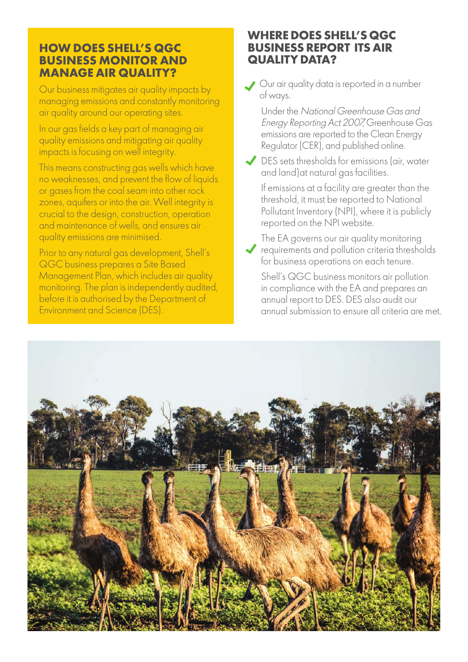## **HOW DOES SHELL'S QGC BUSINESS MONITOR AND MANAGE AIR QUALITY?**

Our business mitigates air quality impacts by managing emissions and constantly monitoring air quality around our operating sites.

In our gas fields a key part of managing air quality emissions and mitigating air quality impacts is focusing on well integrity.

This means constructing gas wells which have no weaknesses, and prevent the flow of liquids or gases from the coal seam into other rock zones, aquifers or into the air. Well integrity is crucial to the design, construction, operation and maintenance of wells, and ensures air quality emissions are minimised.

Prior to any natural gas development, Shell's QGC business prepares a Site Based Management Plan, which includes air quality monitoring. The plan is independently audited, before it is authorised by the Department of Environment and Science (DES).

## **WHERE DOES SHELL'S QGC BUSINESS REPORT ITS AIR QUALITY DATA?**

 Our air quality data is reported in a number of ways.

Under the National Greenhouse Gas and Energy Reporting Act 2007, Greenhouse Gas emissions are reported to the Clean Energy Regulator (CER), and published online.

◆ DES sets thresholds for emissions (air, water and land)at natural gas facilities.

If emissions at a facility are greater than the threshold, it must be reported to National Pollutant Inventory (NPI), where it is publicly reported on the NPI website.

The EA governs our air quality monitoring requirements and pollution criteria thresholds for business operations on each tenure.

Shell's QGC business monitors air pollution in compliance with the EA and prepares an annual report to DES. DES also audit our annual submission to ensure all criteria are met.

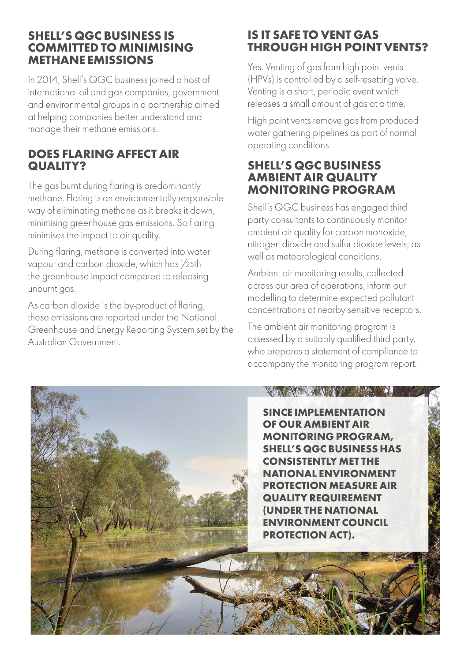#### **SHELL'S QGC BUSINESS IS COMMITTED TO MINIMISING METHANE EMISSIONS**

In 2014, Shell's QGC business joined a host of international oil and gas companies, government and environmental groups in a partnership aimed at helping companies better understand and manage their methane emissions.

## **DOES FLARING AFFECT AIR QUALITY?**

The gas burnt during flaring is predominantly methane. Flaring is an environmentally responsible way of eliminating methane as it breaks it down, minimising greenhouse gas emissions. So flaring minimises the impact to air quality.

During flaring, methane is converted into water vapour and carbon dioxide, which has 1 /25th the greenhouse impact compared to releasing unburnt gas.

As carbon dioxide is the by-product of flaring, these emissions are reported under the National Greenhouse and Energy Reporting System set by the Australian Government.

# **IS IT SAFE TO VENT GAS THROUGH HIGH POINT VENTS?**

Yes. Venting of gas from high point vents (HPVs) is controlled by a self-resetting valve. Venting is a short, periodic event which releases a small amount of gas at a time.

High point vents remove gas from produced water gathering pipelines as part of normal operating conditions.

## **SHELL'S QGC BUSINESS AMBIENT AIR QUALITY MONITORING PROGRAM**

Shell's QGC business has engaged third party consultants to continuously monitor ambient air quality for carbon monoxide, nitrogen dioxide and sulfur dioxide levels; as well as meteorological conditions.

Ambient air monitoring results, collected across our area of operations, inform our modelling to determine expected pollutant concentrations at nearby sensitive receptors.

The ambient air monitoring program is assessed by a suitably qualified third party, who prepares a statement of compliance to accompany the monitoring program report.

#### WAR AND A NEW YORK

**SINCE IMPLEMENTATION OF OUR AMBIENT AIR MONITORING PROGRAM, SHELL'S QGC BUSINESS HAS CONSISTENTLY MET THE NATIONAL ENVIRONMENT PROTECTION MEASURE AIR QUALITY REQUIREMENT (UNDER THE NATIONAL ENVIRONMENT COUNCIL PROTECTION ACT).**